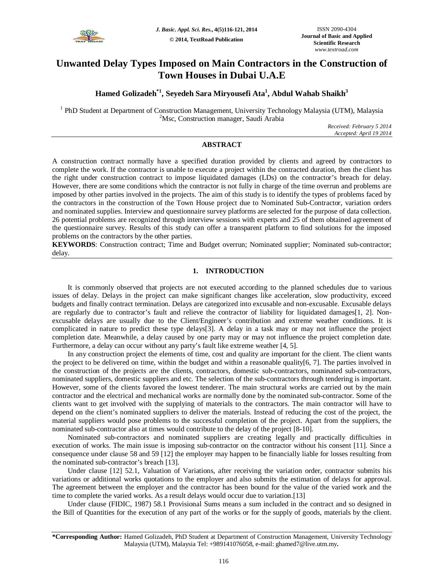

# **Unwanted Delay Types Imposed on Main Contractors in the Construction of Town Houses in Dubai U.A.E**

# **Hamed Golizadeh\*1, Seyedeh Sara Miryousefi Ata<sup>1</sup> , Abdul Wahab Shaikh<sup>3</sup>**

<sup>1</sup> PhD Student at Department of Construction Management, University Technology Malaysia (UTM), Malaysia <sup>2</sup>Msc, Construction manager, Saudi Arabia

> *Received: February 5 2014 Accepted: April 19 2014*

# **ABSTRACT**

A construction contract normally have a specified duration provided by clients and agreed by contractors to complete the work. If the contractor is unable to execute a project within the contracted duration, then the client has the right under construction contract to impose liquidated damages (LDs) on the contractor's breach for delay. However, there are some conditions which the contractor is not fully in charge of the time overrun and problems are imposed by other parties involved in the projects. The aim of this study is to identify the types of problems faced by the contractors in the construction of the Town House project due to Nominated Sub-Contractor, variation orders and nominated supplies. Interview and questionnaire survey platforms are selected for the purpose of data collection. 26 potential problems are recognized through interview sessions with experts and 25 of them obtained agreement of the questionnaire survey. Results of this study can offer a transparent platform to find solutions for the imposed problems on the contractors by the other parties.

**KEYWORDS**: Construction contract; Time and Budget overrun; Nominated supplier; Nominated sub-contractor; delay.

# **1. INTRODUCTION**

It is commonly observed that projects are not executed according to the planned schedules due to various issues of delay. Delays in the project can make significant changes like acceleration, slow productivity, exceed budgets and finally contract termination. Delays are categorized into excusable and non-excusable. Excusable delays are regularly due to contractor's fault and relieve the contractor of liability for liquidated damages[1, 2]. Nonexcusable delays are usually due to the Client/Engineer's contribution and extreme weather conditions. It is complicated in nature to predict these type delays[3]. A delay in a task may or may not influence the project completion date. Meanwhile, a delay caused by one party may or may not influence the project completion date. Furthermore, a delay can occur without any party's fault like extreme weather [4, 5].

In any construction project the elements of time, cost and quality are important for the client. The client wants the project to be delivered on time, within the budget and within a reasonable quality[6, 7]. The parties involved in the construction of the projects are the clients, contractors, domestic sub-contractors, nominated sub-contractors, nominated suppliers, domestic suppliers and etc. The selection of the sub-contractors through tendering is important. However, some of the clients favored the lowest tenderer. The main structural works are carried out by the main contractor and the electrical and mechanical works are normally done by the nominated sub-contractor. Some of the clients want to get involved with the supplying of materials to the contractors. The main contractor will have to depend on the client's nominated suppliers to deliver the materials. Instead of reducing the cost of the project, the material suppliers would pose problems to the successful completion of the project. Apart from the suppliers, the nominated sub-contractor also at times would contribute to the delay of the project [8-10].

Nominated sub-contractors and nominated suppliers are creating legally and practically difficulties in execution of works. The main issue is imposing sub-contractor on the contractor without his consent [11]. Since a consequence under clause 58 and 59 [12] the employer may happen to be financially liable for losses resulting from the nominated sub-contractor's breach [13].

Under clause [12] 52.1, Valuation of Variations, after receiving the variation order, contractor submits his variations or additional works quotations to the employer and also submits the estimation of delays for approval. The agreement between the employer and the contractor has been bound for the value of the varied work and the time to complete the varied works. As a result delays would occur due to variation.[13]

Under clause (FIDIC, 1987) 58.1 Provisional Sums means a sum included in the contract and so designed in the Bill of Quantities for the execution of any part of the works or for the supply of goods, materials by the client.

**<sup>\*</sup>Corresponding Author:** Hamed Golizadeh, PhD Student at Department of Construction Management, University Technology Malaysia (UTM), Malaysia Tel: +989141076058, e-mail: ghamed7@live.utm.my**.**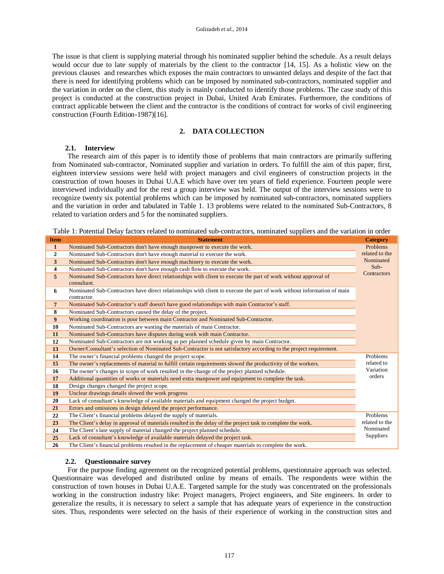The issue is that client is supplying material through his nominated supplier behind the schedule. As a result delays would occur due to late supply of materials by the client to the contractor [14, 15]. As a holistic view on the previous clauses and researches which exposes the main contractors to unwanted delays and despite of the fact that there is need for identifying problems which can be imposed by nominated sub-contractors, nominated supplier and the variation in order on the client, this study is mainly conducted to identify those problems. The case study of this project is conducted at the construction project in Dubai, United Arab Emirates. Furthermore, the conditions of contract applicable between the client and the contractor is the conditions of contract for works of civil engineering construction (Fourth Edition-1987)[16].

# **2. DATA COLLECTION**

# **2.1. Interview**

The research aim of this paper is to identify those of problems that main contractors are primarily suffering from Nominated sub-contractor, Nominated supplier and variation in orders. To fulfill the aim of this paper, first, eighteen interview sessions were held with project managers and civil engineers of construction projects in the construction of town houses in Dubai U.A.E which have over ten years of field experience. Fourteen people were interviewed individually and for the rest a group interview was held. The output of the interview sessions were to recognize twenty six potential problems which can be imposed by nominated sub-contractors, nominated suppliers and the variation in order and tabulated in Table 1. 13 problems were related to the nominated Sub-Contractors, 8 related to variation orders and 5 for the nominated suppliers.

Table 1: Potential Delay factors related to nominated sub-contractors, nominated suppliers and the variation in order

| <b>Item</b>    | <b>Statement</b>                                                                                                               | <b>Category</b>  |
|----------------|--------------------------------------------------------------------------------------------------------------------------------|------------------|
| $\mathbf{1}$   | Nominated Sub-Contractors don't have enough manpower to execute the work.                                                      | Problems         |
| $\overline{2}$ | Nominated Sub-Contractors don't have enough material to execute the work.                                                      | related to the   |
| 3              | Nominated Sub-Contractors don't have enough machinery to execute the work.                                                     | Nominated        |
| 4              | Nominated Sub-Contractors don't have enough cash flow to execute the work.                                                     | $Sub-$           |
| 5              | Nominated Sub-Contractors have direct relationships with client to execute the part of work without approval of<br>consultant. | Contractors      |
| 6              | Nominated Sub-Contractors have direct relationships with client to execute the part of work without information of main        |                  |
|                | contractor.                                                                                                                    |                  |
| 7              | Nominated Sub-Contractor's staff doesn't have good relationships with main Contractor's staff.                                 |                  |
| 8              | Nominated Sub-Contractors caused the delay of the project.                                                                     |                  |
| 9              | Working coordination is poor between main Contractor and Nominated Sub-Contractor.                                             |                  |
| 10             | Nominated Sub-Contractors are wasting the materials of main Contractor.                                                        |                  |
| 11             | Nominated Sub-Contractors have disputes during work with main Contractor.                                                      |                  |
| 12             | Nominated Sub-Contractors are not working as per planned schedule given by main Contractor.                                    |                  |
| 13             | Owner/Consultant's selection of Nominated Sub-Contractor is not satisfactory according to the project requirement.             |                  |
| 14             | The owner's financial problems changed the project scope.                                                                      | Problems         |
| 15             | The owner's replacements of material to fulfill certain requirements slowed the productivity of the workers.                   | related to       |
| 16             | The owner's changes in scope of work resulted in the change of the project planned schedule.                                   | Variation        |
| 17             | Additional quantities of works or materials need extra manpower and equipment to complete the task.                            | orders           |
| 18             | Design changes changed the project scope.                                                                                      |                  |
| 19             | Unclear drawings details slowed the work progress                                                                              |                  |
| 20             | Lack of consultant's knowledge of available materials and equipment changed the project budget.                                |                  |
| 21             | Errors and omissions in design delayed the project performance.                                                                |                  |
| 22             | The Client's financial problems delayed the supply of materials.                                                               | Problems         |
| 23             | The Client's delay in approval of materials resulted in the delay of the project task to complete the work.                    | related to the   |
| 24             | The Client's late supply of material changed the project planned schedule.                                                     | Nominated        |
| 25             | Lack of consultant's knowledge of available materials delayed the project task.                                                | <b>Suppliers</b> |
| 26             | The Client's financial problems resulted in the replacement of cheaper materials to complete the work.                         |                  |

#### **2.2. Questionnaire survey**

For the purpose finding agreement on the recognized potential problems, questionnaire approach was selected. Questionnaire was developed and distributed online by means of emails. The respondents were within the construction of town houses in Dubai U.A.E. Targeted sample for the study was concentrated on the professionals working in the construction industry like: Project managers, Project engineers, and Site engineers. In order to generalize the results, it is necessary to select a sample that has adequate years of experience in the construction sites. Thus, respondents were selected on the basis of their experience of working in the construction sites and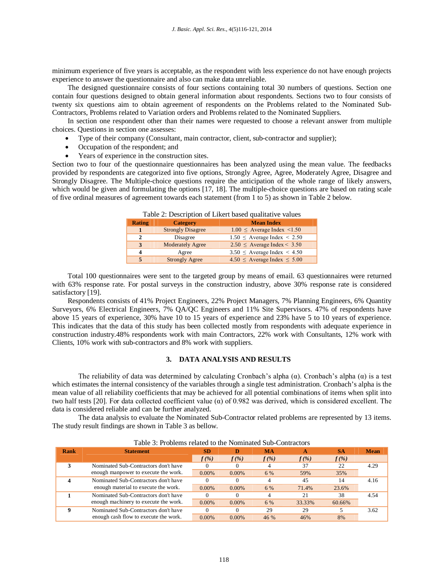minimum experience of five years is acceptable, as the respondent with less experience do not have enough projects experience to answer the questionnaire and also can make data unreliable.

The designed questionnaire consists of four sections containing total 30 numbers of questions. Section one contain four questions designed to obtain general information about respondents. Sections two to four consists of twenty six questions aim to obtain agreement of respondents on the Problems related to the Nominated Sub-Contractors, Problems related to Variation orders and Problems related to the Nominated Suppliers.

In section one respondent other than their names were requested to choose a relevant answer from multiple choices. Questions in section one assesses:

- Type of their company (Consultant, main contractor, client, sub-contractor and supplier);
- Occupation of the respondent; and
- Years of experience in the construction sites.

Section two to four of the questionnaire questionnaires has been analyzed using the mean value. The feedbacks provided by respondents are categorized into five options, Strongly Agree, Agree, Moderately Agree, Disagree and Strongly Disagree. The Multiple-choice questions require the anticipation of the whole range of likely answers, which would be given and formulating the options [17, 18]. The multiple-choice questions are based on rating scale of five ordinal measures of agreement towards each statement (from 1 to 5) as shown in Table 2 below.

| <b>Rating</b> | <b>Category</b>          | <b>Mean Index</b>                     |  |  |  |  |
|---------------|--------------------------|---------------------------------------|--|--|--|--|
|               | <b>Strongly Disagree</b> | $1.00 \leq$ Average Index <1.50       |  |  |  |  |
| 2             | Disagree                 | $1.50 \le$ Average Index $\le$ 2.50   |  |  |  |  |
| 3             | <b>Moderately Agree</b>  | $2.50 \leq$ Average Index < 3.50      |  |  |  |  |
| 4             | Agree                    | $3.50 \le$ Average Index < 4.50       |  |  |  |  |
| 5             | <b>Strongly Agree</b>    | $4.50 \leq$ Average Index $\leq 5.00$ |  |  |  |  |
|               |                          |                                       |  |  |  |  |

Table 2: Description of Likert based qualitative values

Total 100 questionnaires were sent to the targeted group by means of email. 63 questionnaires were returned with 63% response rate. For postal surveys in the construction industry, above 30% response rate is considered satisfactory [19].

Respondents consists of 41% Project Engineers, 22% Project Managers, 7% Planning Engineers, 6% Quantity Surveyors, 6% Electrical Engineers, 7% QA/QC Engineers and 11% Site Supervisors. 47% of respondents have above 15 years of experience, 30% have 10 to 15 years of experience and 23% have 5 to 10 years of experience. This indicates that the data of this study has been collected mostly from respondents with adequate experience in construction industry.48% respondents work with main Contractors, 22% work with Consultants, 12% work with Clients, 10% work with sub-contractors and 8% work with suppliers.

# **3. DATA ANALYSIS AND RESULTS**

The reliability of data was determined by calculating Cronbach's alpha  $(\alpha)$ . Cronbach's alpha  $(\alpha)$  is a test which estimates the internal consistency of the variables through a single test administration. Cronbach's alpha is the mean value of all reliability coefficients that may be achieved for all potential combinations of items when split into two half tests [20]. For data collected coefficient value ( $\alpha$ ) of 0.982 was derived, which is considered excellent. The data is considered reliable and can be further analyzed.

The data analysis to evaluate the Nominated Sub-Contractor related problems are represented by 13 items. The study result findings are shown in Table 3 as bellow.

| Rank | <b>Statement</b>                      | <b>SD</b> |          | <b>MA</b> | А       | SА      | Mean |
|------|---------------------------------------|-----------|----------|-----------|---------|---------|------|
|      |                                       | $f(\%)$   | $f(\%)$  | $f(\%)$   | $f(\%)$ | $f(\%)$ |      |
|      | Nominated Sub-Contractors don't have  |           |          |           | 37      | 22      | 4.29 |
|      | enough manpower to execute the work.  | $0.00\%$  | $0.00\%$ | 6 %       | 59%     | 35%     |      |
|      | Nominated Sub-Contractors don't have  | 0         |          |           | 45      | 14      | 4.16 |
|      | enough material to execute the work.  | $0.00\%$  | $0.00\%$ | 6 %       | 71.4%   | 23.6%   |      |
|      | Nominated Sub-Contractors don't have  |           |          |           | 21      | 38      | 4.54 |
|      | enough machinery to execute the work. | $0.00\%$  | $0.00\%$ | 6 %       | 33.33%  | 60.66%  |      |
|      | Nominated Sub-Contractors don't have  | 0         |          | 29        | 29      |         | 3.62 |
|      | enough cash flow to execute the work. | $0.00\%$  | $0.00\%$ | 46 %      | 46%     | 8%      |      |

|  | Table 3: Problems related to the Nominated Sub-Contractors |
|--|------------------------------------------------------------|
|--|------------------------------------------------------------|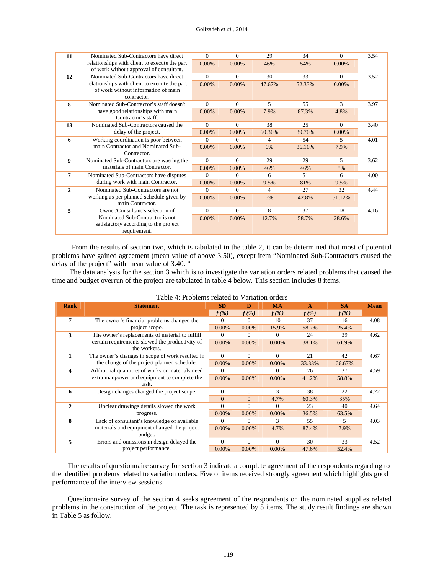| 11           | Nominated Sub-Contractors have direct         | 0        | $\Omega$ | 29     | 34     | $\Omega$ | 3.54 |
|--------------|-----------------------------------------------|----------|----------|--------|--------|----------|------|
|              | relationships with client to execute the part | 0.00%    | 0.00%    | 46%    | 54%    | 0.00%    |      |
|              | of work without approval of consultant.       |          |          |        |        |          |      |
| 12           | Nominated Sub-Contractors have direct         | $\theta$ | $\Omega$ | 30     | 33     | $\Omega$ | 3.52 |
|              | relationships with client to execute the part | 0.00%    | 0.00%    | 47.67% | 52.33% | 0.00%    |      |
|              | of work without information of main           |          |          |        |        |          |      |
|              | contractor.                                   |          |          |        |        |          |      |
| 8            | Nominated Sub-Contractor's staff doesn't      | $\Omega$ | $\Omega$ | 5      | 55     | 3        | 3.97 |
|              | have good relationships with main             | 0.00%    | 0.00%    | 7.9%   | 87.3%  | 4.8%     |      |
|              | Contractor's staff.                           |          |          |        |        |          |      |
| 13           | Nominated Sub-Contractors caused the          | $\Omega$ | $\Omega$ | 38     | 25     | $\Omega$ | 3.40 |
|              | delay of the project.                         | 0.00%    | 0.00%    | 60.30% | 39.70% | 0.00%    |      |
| 6            | Working coordination is poor between          | 0        | $\Omega$ | 4      | 54     | 5        | 4.01 |
|              | main Contractor and Nominated Sub-            | 0.00%    | $0.00\%$ | 6%     | 86.10% | 7.9%     |      |
|              | Contractor.                                   |          |          |        |        |          |      |
| 9            | Nominated Sub-Contractors are wasting the     | $\Omega$ | $\Omega$ | 29     | 29     | 5        | 3.62 |
|              | materials of main Contractor.                 | 0.00%    | 0.00%    | 46%    | 46%    | 8%       |      |
| 7            | Nominated Sub-Contractors have disputes       | 0        | $\Omega$ | 6      | 51     | 6        | 4.00 |
|              | during work with main Contractor.             | 0.00%    | 0.00%    | 9.5%   | 81%    | 9.5%     |      |
| $\mathbf{2}$ | Nominated Sub-Contractors are not             | 0        | $\Omega$ | 4      | 27     | 32       | 4.44 |
|              | working as per planned schedule given by      | 0.00%    | 0.00%    | 6%     | 42.8%  | 51.12%   |      |
|              | main Contractor.                              |          |          |        |        |          |      |
| 5            | Owner/Consultant's selection of               | $\Omega$ | $\Omega$ | 8      | 37     | 18       | 4.16 |
|              | Nominated Sub-Contractor is not               | 0.00%    | 0.00%    | 12.7%  | 58.7%  | 28.6%    |      |
|              | satisfactory according to the project         |          |          |        |        |          |      |
|              | requirement.                                  |          |          |        |        |          |      |

From the results of section two, which is tabulated in the table 2, it can be determined that most of potential problems have gained agreement (mean value of above 3.50), except item "Nominated Sub-Contractors caused the delay of the project" with mean value of 3.40. "

The data analysis for the section 3 which is to investigate the variation orders related problems that caused the time and budget overrun of the project are tabulated in table 4 below. This section includes  $\hat{8}$  items.

| <b>Rank</b>  | <b>Statement</b>                                 | <b>SD</b> | D        | <b>MA</b> | A       | <b>SA</b> | <b>Mean</b> |
|--------------|--------------------------------------------------|-----------|----------|-----------|---------|-----------|-------------|
|              |                                                  | $f(\%)$   | $f(\%)$  | $f(\%)$   | $f(\%)$ | $f(\%)$   |             |
| 7            | The owner's financial problems changed the       | $\Omega$  | $\Omega$ | 10        | 37      | 16        | 4.08        |
|              | project scope.                                   | 0.00%     | $0.00\%$ | 15.9%     | 58.7%   | 25.4%     |             |
| 3            | The owner's replacements of material to fulfill  | $\Omega$  | $\Omega$ | $\Omega$  | 24      | 39        | 4.62        |
|              | certain requirements slowed the productivity of  | $0.00\%$  | $0.00\%$ | 0.00%     | 38.1%   | 61.9%     |             |
|              | the workers.                                     |           |          |           |         |           |             |
| 1            | The owner's changes in scope of work resulted in | $\Omega$  | $\Omega$ | $\Omega$  | 21      | 42        | 4.67        |
|              | the change of the project planned schedule.      |           | 0.00%    | 0.00%     | 33.33%  | 66.67%    |             |
| 4            | Additional quantities of works or materials need | $\Omega$  | $\Omega$ | $\Omega$  | 26      | 37        | 4.59        |
|              | extra manpower and equipment to complete the     | $0.00\%$  | $0.00\%$ | $0.00\%$  | 41.2%   | 58.8%     |             |
|              | task.                                            |           |          |           |         |           |             |
| 6            | Design changes changed the project scope.        | 0         | $\Omega$ | 3         | 38      | 22        | 4.22        |
|              |                                                  | $\Omega$  | $\Omega$ | 4.7%      | 60.3%   | 35%       |             |
| $\mathbf{2}$ | Unclear drawings details slowed the work         | $\Omega$  | $\Omega$ | $\Omega$  | 23      | 40        | 4.64        |
|              | progress.                                        | 0.00%     | 0.00%    | 0.00%     | 36.5%   | 63.5%     |             |
| 8            | Lack of consultant's knowledge of available      | $\Omega$  | $\Omega$ | 3         | 55      | 5         | 4.03        |
|              | materials and equipment changed the project      | $0.00\%$  | $0.00\%$ | 4.7%      | 87.4%   | 7.9%      |             |
|              | budget.                                          |           |          |           |         |           |             |
| 5            | Errors and omissions in design delayed the       | $\Omega$  | $\Omega$ | $\Omega$  | 30      | 33        | 4.52        |
|              | project performance.                             | $0.00\%$  | $0.00\%$ | $0.00\%$  | 47.6%   | 52.4%     |             |

| Table 4: Problems related to Variation orders |  |  |  |
|-----------------------------------------------|--|--|--|
|-----------------------------------------------|--|--|--|

The results of questionnaire survey for section 3 indicate a complete agreement of the respondents regarding to the identified problems related to variation orders. Five of items received strongly agreement which highlights good performance of the interview sessions.

Questionnaire survey of the section 4 seeks agreement of the respondents on the nominated supplies related problems in the construction of the project. The task is represented by 5 items. The study result findings are shown in Table 5 as follow.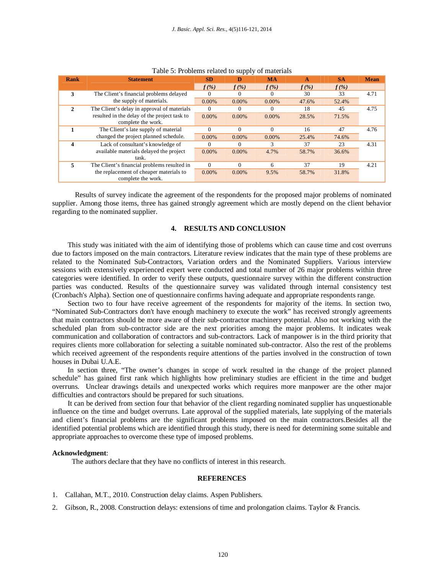| Rank         | <b>Statement</b>                                                   | <b>SD</b> | D        | <b>MA</b> | A       | <b>SA</b> | <b>Mean</b> |
|--------------|--------------------------------------------------------------------|-----------|----------|-----------|---------|-----------|-------------|
|              |                                                                    | $f(\%)$   | $f(\%)$  | $f(\%)$   | $f(\%)$ | $f(\%)$   |             |
| 3            | The Client's financial problems delayed                            |           | 0        |           | 30      | 33        | 4.71        |
|              | the supply of materials.                                           | 0.00%     | $0.00\%$ | $0.00\%$  | 47.6%   | 52.4%     |             |
| $\mathbf{2}$ | The Client's delay in approval of materials                        | $\Omega$  | $\Omega$ |           | 18      | 45        | 4.75        |
|              | resulted in the delay of the project task to<br>complete the work. | 0.00%     | $0.00\%$ | $0.00\%$  | 28.5%   | 71.5%     |             |
|              | The Client's late supply of material                               | $\Omega$  | $\Omega$ | 0         | 16      | 47        | 4.76        |
|              | changed the project planned schedule.                              | $0.00\%$  | $0.00\%$ | $0.00\%$  | 25.4%   | 74.6%     |             |
| 4            | Lack of consultant's knowledge of                                  | $\Omega$  | $\Omega$ | 3         | 37      | 23        | 4.31        |
|              | available materials delayed the project<br>task.                   | 0.00%     | $0.00\%$ | 4.7%      | 58.7%   | 36.6%     |             |
| 5            | The Client's financial problems resulted in                        | $\Omega$  | $\Omega$ | 6         | 37      | 19        | 4.21        |
|              | the replacement of cheaper materials to<br>complete the work.      | $0.00\%$  | $0.00\%$ | 9.5%      | 58.7%   | 31.8%     |             |

Results of survey indicate the agreement of the respondents for the proposed major problems of nominated supplier. Among those items, three has gained strongly agreement which are mostly depend on the client behavior regarding to the nominated supplier.

#### **4. RESULTS AND CONCLUSION**

This study was initiated with the aim of identifying those of problems which can cause time and cost overruns due to factors imposed on the main contractors. Literature review indicates that the main type of these problems are related to the Nominated Sub-Contractors, Variation orders and the Nominated Suppliers. Various interview sessions with extensively experienced expert were conducted and total number of 26 major problems within three categories were identified. In order to verify these outputs, questionnaire survey within the different construction parties was conducted. Results of the questionnaire survey was validated through internal consistency test (Cronbach's Alpha). Section one of questionnaire confirms having adequate and appropriate respondents range.

Section two to four have receive agreement of the respondents for majority of the items. In section two, "Nominated Sub-Contractors don't have enough machinery to execute the work" has received strongly agreements that main contractors should be more aware of their sub-contractor machinery potential. Also not working with the scheduled plan from sub-contractor side are the next priorities among the major problems. It indicates weak communication and collaboration of contractors and sub-contractors. Lack of manpower is in the third priority that requires clients more collaboration for selecting a suitable nominated sub-contractor. Also the rest of the problems which received agreement of the respondents require attentions of the parties involved in the construction of town houses in Dubai U.A.E.

In section three, "The owner's changes in scope of work resulted in the change of the project planned schedule" has gained first rank which highlights how preliminary studies are efficient in the time and budget overruns. Unclear drawings details and unexpected works which requires more manpower are the other major difficulties and contractors should be prepared for such situations.

It can be derived from section four that behavior of the client regarding nominated supplier has unquestionable influence on the time and budget overruns. Late approval of the supplied materials, late supplying of the materials and client's financial problems are the significant problems imposed on the main contractors.Besides all the identified potential problems which are identified through this study, there is need for determining some suitable and appropriate approaches to overcome these type of imposed problems.

#### **Acknowledgment**:

The authors declare that they have no conflicts of interest in this research.

# **REFERENCES**

- 1. Callahan, M.T., 2010. Construction delay claims. Aspen Publishers.
- 2. Gibson, R., 2008. Construction delays: extensions of time and prolongation claims. Taylor & Francis.